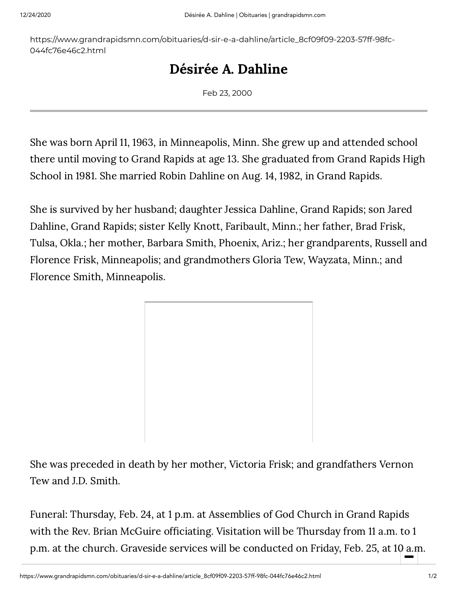https://www.grandrapidsmn.com/obituaries/d-sir-e-a-dahline/article\_8cf09f09-2203-57ff-98fc-044fc76e46c2.html

## Désirée A. Dahline

Feb 23, 2000

She was born April 11, 1963, in Minneapolis, Minn. She grew up and attended school there until moving to Grand Rapids at age 13. She graduated from Grand Rapids High School in 1981. She married Robin Dahline on Aug. 14, 1982, in Grand Rapids.

She is survived by her husband; daughter Jessica Dahline, Grand Rapids; son Jared Dahline, Grand Rapids; sister Kelly Knott, Faribault, Minn.; her father, Brad Frisk, Tulsa, Okla.; her mother, Barbara Smith, Phoenix, Ariz.; her grandparents, Russell and Florence Frisk, Minneapolis; and grandmothers Gloria Tew, Wayzata, Minn.; and Florence Smith, Minneapolis.

She was preceded in death by her mother, Victoria Frisk; and grandfathers Vernon Tew and J.D. Smith.

Funeral: Thursday, Feb. 24, at 1 p.m. at Assemblies of God Church in Grand Rapids with the Rev. Brian McGuire officiating. Visitation will be Thursday from 11 a.m. to 1 p.m. at the church. Graveside services will be conducted on Friday, Feb. 25, at 10 a.m.